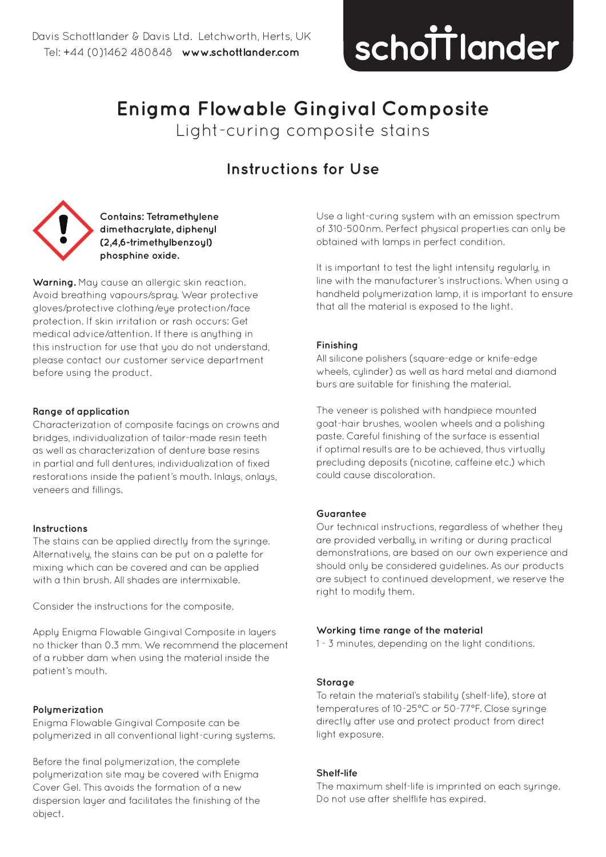# schottlander **improving dentistry together**

## **Enigma Flowable Gingival Composite**

Light-curing composite stains

### **Instructions for Use**



**Contains: Tetramethylene dimethacrylate, diphenyl (2,4,6-trimethylbenzoyl) phosphine oxide.** 

**Warning.** May cause an allergic skin reaction. Avoid breathing vapours/spray. Wear protective gloves/protective clothing/eye protection/face protection. If skin irritation or rash occurs: Get medical advice/attention. If there is anything in this instruction for use that you do not understand, please contact our customer service department before using the product.

#### **Range of application**

Characterization of composite facings on crowns and bridges, individualization of tailor-made resin teeth as well as characterization of denture base resins in partial and full dentures, individualization of fixed restorations inside the patient's mouth. Inlays, onlays, veneers and fillings.

#### **Instructions**

The stains can be applied directly from the syringe. Alternatively, the stains can be put on a palette for mixing which can be covered and can be applied with a thin brush. All shades are intermixable.

Consider the instructions for the composite.

Apply Enigma Flowable Gingival Composite in layers no thicker than 0.3 mm. We recommend the placement of a rubber dam when using the material inside the patient's mouth.

#### **Polymerization**

Enigma Flowable Gingival Composite can be polymerized in all conventional light-curing systems.

Before the final polymerization, the complete polymerization site may be covered with Enigma Cover Gel. This avoids the formation of a new dispersion layer and facilitates the finishing of the object.

Use a light-curing system with an emission spectrum of 310-500nm. Perfect physical properties can only be obtained with lamps in perfect condition.

It is important to test the light intensity regularly, in line with the manufacturer's instructions. When using a handheld polymerization lamp, it is important to ensure that all the material is exposed to the light.

#### **Finishing**

All silicone polishers (square-edge or knife-edge wheels, culinder) as well as hard metal and diamond burs are suitable for finishing the material.

The veneer is polished with handpiece mounted goat-hair brushes, woolen wheels and a polishing paste. Careful finishing of the surface is essential if optimal results are to be achieved, thus virtually precluding deposits (nicotine, caffeine etc.) which could cause discoloration.

#### **Guarantee**

Our technical instructions, regardless of whether they are provided verbally, in writing or during practical demonstrations, are based on our own experience and should only be considered guidelines. As our products are subject to continued development, we reserve the right to modify them.

#### **Working time range of the material**

1 - 3 minutes, depending on the light conditions.

#### **Storage**

To retain the material's stability (shelf-life), store at temperatures of 10-25°C or 50-77°F. Close syringe directly after use and protect product from direct light exposure.

#### **Shelf-life**

The maximum shelf-life is imprinted on each syringe. Do not use after shelflife has expired.